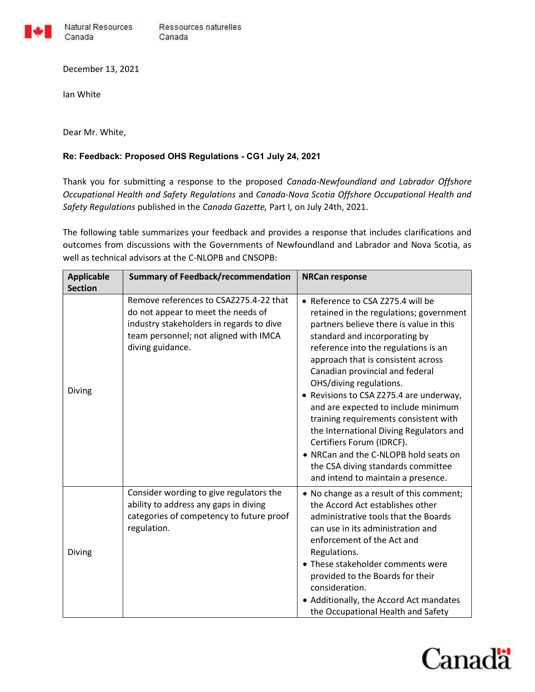

Natural Resources Ressources naturelles Canada

December 13, 2021

Ian White

Canada

Dear Mr. White,

## Re: Feedback: Proposed OHS Regulations - CG1 July 24, 2021

Thank you for submitting a response to the proposed Canada-Newfoundland and Labrador Offshore Occupational Health and Safety Regulations and Canada-Nova Scotia Offshore Occupational Health and Safety Regulations published in the Canada Gazette, Part I, on July 24th, 2021.

The following table summarizes your feedback and provides a response that includes clarifications and outcomes from discussions with the Governments of Newfoundland and Labrador and Nova Scotia, as well as technical advisors at the C-NLOPB and CNSOPB:

| <b>Applicable</b><br><b>Section</b> | <b>Summary of Feedback/recommendation</b>                                                                                                                                             | <b>NRCan response</b>                                                                                                                                                                                                                                                                                                                                                                                                                                                                                                                                                                                                        |
|-------------------------------------|---------------------------------------------------------------------------------------------------------------------------------------------------------------------------------------|------------------------------------------------------------------------------------------------------------------------------------------------------------------------------------------------------------------------------------------------------------------------------------------------------------------------------------------------------------------------------------------------------------------------------------------------------------------------------------------------------------------------------------------------------------------------------------------------------------------------------|
| Diving                              | Remove references to CSAZ275.4-22 that<br>do not appear to meet the needs of<br>industry stakeholders in regards to dive<br>team personnel; not aligned with IMCA<br>diving guidance. | • Reference to CSA Z275.4 will be<br>retained in the regulations; government<br>partners believe there is value in this<br>standard and incorporating by<br>reference into the regulations is an<br>approach that is consistent across<br>Canadian provincial and federal<br>OHS/diving regulations.<br>• Revisions to CSA Z275.4 are underway,<br>and are expected to include minimum<br>training requirements consistent with<br>the International Diving Regulators and<br>Certifiers Forum (IDRCF).<br>• NRCan and the C-NLOPB hold seats on<br>the CSA diving standards committee<br>and intend to maintain a presence. |
| Diving                              | Consider wording to give regulators the<br>ability to address any gaps in diving<br>categories of competency to future proof<br>regulation.                                           | • No change as a result of this comment;<br>the Accord Act establishes other<br>administrative tools that the Boards<br>can use in its administration and<br>enforcement of the Act and<br>Regulations.<br>• These stakeholder comments were<br>provided to the Boards for their<br>consideration.<br>• Additionally, the Accord Act mandates<br>the Occupational Health and Safety                                                                                                                                                                                                                                          |